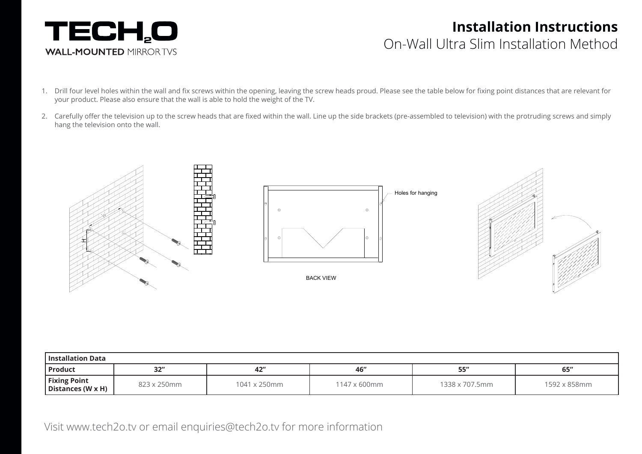

## **Installation Instructions**  On-Wall Ultra Slim Installation Method

- 1. Drill four level holes within the wall and fix screws within the opening, leaving the screw heads proud. Please see the table below for fixing point distances that are relevant for your product. Please also ensure that the wall is able to hold the weight of the TV.
- 2. Carefully offer the television up to the screw heads that are fixed within the wall. Line up the side brackets (pre-assembled to television) with the protruding screws and simply hang the television onto the wall.



| l Installation Data                      |             |                      |              |                |              |  |  |  |  |
|------------------------------------------|-------------|----------------------|--------------|----------------|--------------|--|--|--|--|
| Product                                  | 32''        | 42"                  | 46"          | 55''           | 65''         |  |  |  |  |
| <b>Fixing Point</b><br>Distances (W x H) | 823 x 250mm | $1041 \times 250$ mm | 1147 x 600mm | 1338 x 707.5mm | 1592 x 858mm |  |  |  |  |

Visit www.tech2o.tv or email enquiries@tech2o.tv for more information